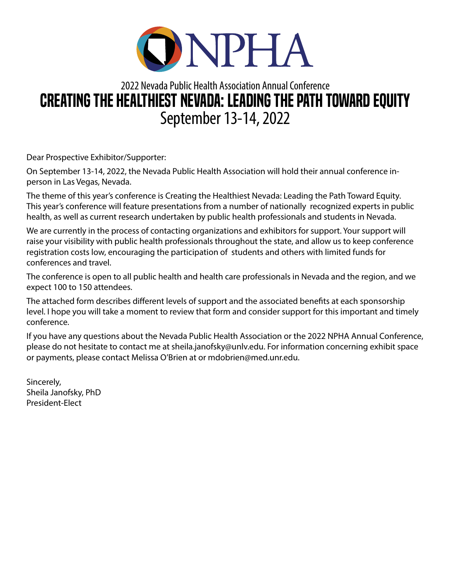

## 2022 Nevada Public Health Association Annual Conference CREATING THE HEALTHIEST NEVADA: LEADING THE PATH TOWARD EQUITY September 13-14, 2022

Dear Prospective Exhibitor/Supporter:

On September 13-14, 2022, the Nevada Public Health Association will hold their annual conference inperson in Las Vegas, Nevada.

The theme of this year's conference is Creating the Healthiest Nevada: Leading the Path Toward Equity. This year's conference will feature presentations from a number of nationally recognized experts in public health, as well as current research undertaken by public health professionals and students in Nevada.

We are currently in the process of contacting organizations and exhibitors for support. Your support will raise your visibility with public health professionals throughout the state, and allow us to keep conference registration costs low, encouraging the participation of students and others with limited funds for conferences and travel.

The conference is open to all public health and health care professionals in Nevada and the region, and we expect 100 to 150 attendees.

The attached form describes different levels of support and the associated benefits at each sponsorship level. I hope you will take a moment to review that form and consider support for this important and timely conference.

If you have any questions about the Nevada Public Health Association or the 2022 NPHA Annual Conference, please do not hesitate to contact me at sheila.janofsky@unlv.edu. For information concerning exhibit space or payments, please contact Melissa O'Brien at or mdobrien@med.unr.edu.

Sincerely, Sheila Janofsky, PhD President-Elect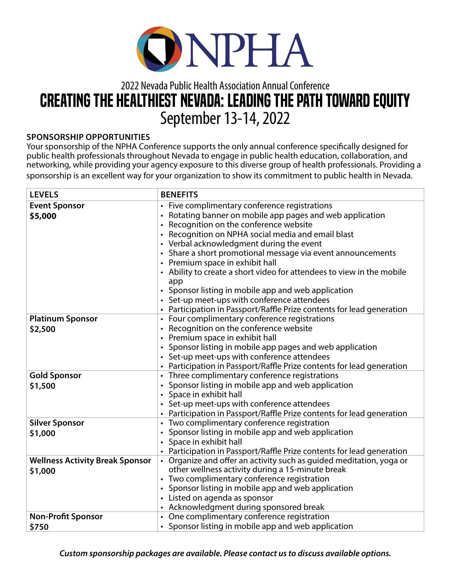

## 2022 Nevada Public Health Association Annual Conference CREATING THE HEALTHIEST NEVADA: LEADING THE PATH TOWARD EQUITY September 13-14, 2022

## **SPONSORSHIP OPPORTUNITIES**

Your sponsorship of the NPHA Conference supports the only annual conference specifically designed for public health professionals throughout Nevada to engage in public health education, collaboration, and networking, while providing your agency exposure to this diverse group of health professionals. Providing a sponsorship is an excellent way for your organization to show its commitment to public health in Nevada.

| <b>LEVELS</b>                                     | <b>BENEFITS</b>                                                                                                                                                                                                                                                                                                                                                                                                                                                                                                                                                                                                                          |
|---------------------------------------------------|------------------------------------------------------------------------------------------------------------------------------------------------------------------------------------------------------------------------------------------------------------------------------------------------------------------------------------------------------------------------------------------------------------------------------------------------------------------------------------------------------------------------------------------------------------------------------------------------------------------------------------------|
| <b>Event Sponsor</b><br>\$5,000                   | Five complimentary conference registrations<br>$\bullet$<br>Rotating banner on mobile app pages and web application<br>Recognition on the conference website<br>Recognition on NPHA social media and email blast<br>• Verbal acknowledgment during the event<br>• Share a short promotional message via event announcements<br>• Premium space in exhibit hall<br>• Ability to create a short video for attendees to view in the mobile<br>app<br>• Sponsor listing in mobile app and web application<br>• Set-up meet-ups with conference attendees<br>Participation in Passport/Raffle Prize contents for lead generation<br>$\bullet$ |
| <b>Platinum Sponsor</b><br>\$2,500                | Four complimentary conference registrations<br>٠<br>Recognition on the conference website<br>Premium space in exhibit hall<br>$\bullet$<br>Sponsor listing in mobile app pages and web application<br>$\bullet$<br>• Set-up meet-ups with conference attendees<br>Participation in Passport/Raffle Prize contents for lead generation                                                                                                                                                                                                                                                                                                    |
| <b>Gold Sponsor</b><br>\$1,500                    | Three complimentary conference registrations<br>$\bullet$<br>Sponsor listing in mobile app and web application<br>Space in exhibit hall<br>Set-up meet-ups with conference attendees<br>Participation in Passport/Raffle Prize contents for lead generation<br>$\bullet$                                                                                                                                                                                                                                                                                                                                                                 |
| <b>Silver Sponsor</b><br>\$1,000                  | Two complimentary conference registration<br>• Sponsor listing in mobile app and web application<br>• Space in exhibit hall<br>• Participation in Passport/Raffle Prize contents for lead generation                                                                                                                                                                                                                                                                                                                                                                                                                                     |
| <b>Wellness Activity Break Sponsor</b><br>\$1,000 | Organize and offer an activity such as guided meditation, yoga or<br>other wellness activity during a 15-minute break<br>• Two complimentary conference registration<br>• Sponsor listing in mobile app and web application<br>• Listed on agenda as sponsor<br>• Acknowledgment during sponsored break                                                                                                                                                                                                                                                                                                                                  |
| <b>Non-Profit Sponsor</b><br>\$750                | • One complimentary conference registration<br>• Sponsor listing in mobile app and web application                                                                                                                                                                                                                                                                                                                                                                                                                                                                                                                                       |

*Custom sponsorship packages are available. Please contact us to discuss available options.*